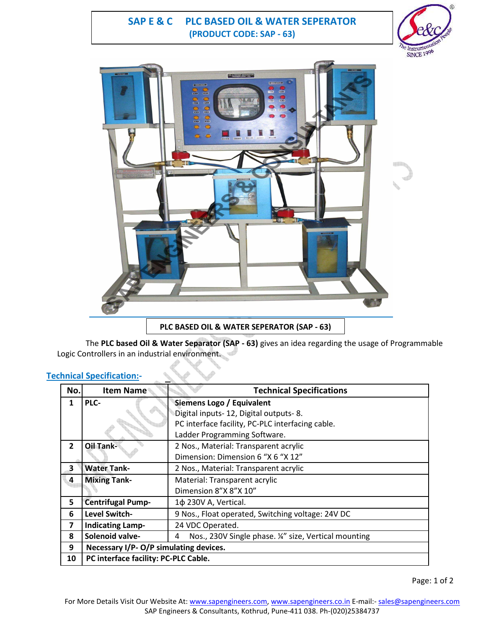## **SAP E & C PLC BASED OIL & WATER SEPERATOR (PRODUCT CODE: SAP - 63)**





The **PLC based Oil & Water Separator (SAP - 63)** gives an idea regarding the usage of Programmable Logic Controllers in an industrial environment.

### **Technical Specification:-**

| No.            | Item Name                              | <b>Technical Specifications</b>                          |
|----------------|----------------------------------------|----------------------------------------------------------|
| 1              | PLC-                                   | Siemens Logo / Equivalent                                |
|                |                                        | Digital inputs-12, Digital outputs-8.                    |
|                |                                        | PC interface facility, PC-PLC interfacing cable.         |
|                |                                        | Ladder Programming Software.                             |
| $\overline{2}$ | <b>Oil Tank-</b>                       | 2 Nos., Material: Transparent acrylic                    |
|                |                                        | Dimension: Dimension 6 "X 6 "X 12"                       |
| 3              | <b>Water Tank-</b>                     | 2 Nos., Material: Transparent acrylic                    |
| 4              | <b>Mixing Tank-</b>                    | Material: Transparent acrylic                            |
|                |                                        | Dimension 8"X 8"X 10"                                    |
| 5              | <b>Centrifugal Pump-</b>               | 1¢ 230V A, Vertical.                                     |
| 6              | Level Switch-                          | 9 Nos., Float operated, Switching voltage: 24V DC        |
| 7              | <b>Indicating Lamp-</b>                | 24 VDC Operated.                                         |
| 8              | Solenoid valve-                        | Nos., 230V Single phase. ¼" size, Vertical mounting<br>4 |
| 9              | Necessary I/P- O/P simulating devices. |                                                          |
| 10             | PC interface facility: PC-PLC Cable.   |                                                          |